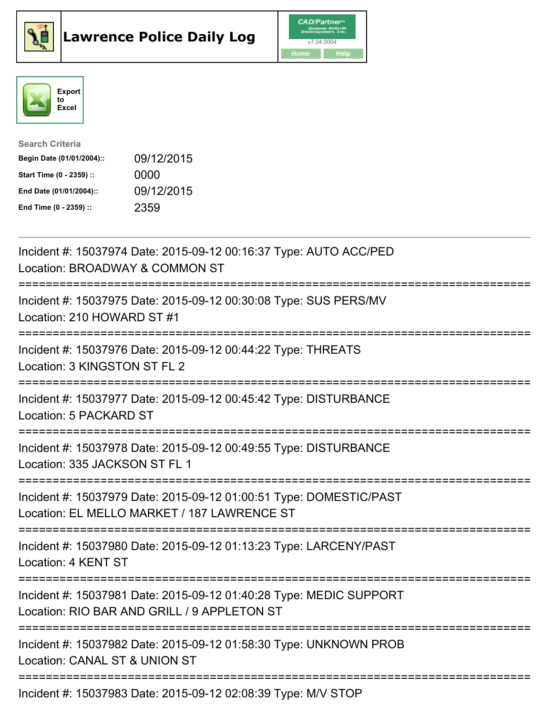





| <b>Search Criteria</b>    |            |
|---------------------------|------------|
| Begin Date (01/01/2004):: | 09/12/2015 |
| Start Time (0 - 2359) ::  | 0000       |
| End Date (01/01/2004)::   | 09/12/2015 |
| End Time (0 - 2359) ::    | 2359       |

| Incident #: 15037974 Date: 2015-09-12 00:16:37 Type: AUTO ACC/PED<br>Location: BROADWAY & COMMON ST                                                       |
|-----------------------------------------------------------------------------------------------------------------------------------------------------------|
| Incident #: 15037975 Date: 2015-09-12 00:30:08 Type: SUS PERS/MV<br>Location: 210 HOWARD ST #1                                                            |
| Incident #: 15037976 Date: 2015-09-12 00:44:22 Type: THREATS<br>Location: 3 KINGSTON ST FL 2<br>-------------------                                       |
| Incident #: 15037977 Date: 2015-09-12 00:45:42 Type: DISTURBANCE<br>Location: 5 PACKARD ST                                                                |
| Incident #: 15037978 Date: 2015-09-12 00:49:55 Type: DISTURBANCE<br>Location: 335 JACKSON ST FL 1<br>------------------                                   |
| Incident #: 15037979 Date: 2015-09-12 01:00:51 Type: DOMESTIC/PAST<br>Location: EL MELLO MARKET / 187 LAWRENCE ST<br>==============================       |
| Incident #: 15037980 Date: 2015-09-12 01:13:23 Type: LARCENY/PAST<br>Location: 4 KENT ST                                                                  |
| ------------------------------------<br>Incident #: 15037981 Date: 2015-09-12 01:40:28 Type: MEDIC SUPPORT<br>Location: RIO BAR AND GRILL / 9 APPLETON ST |
| ===============================<br>Incident #: 15037982 Date: 2015-09-12 01:58:30 Type: UNKNOWN PROB<br>Location: CANAL ST & UNION ST                     |
| Incident #: 15037983 Date: 2015-09-12 02:08:39 Type: M/V STOP                                                                                             |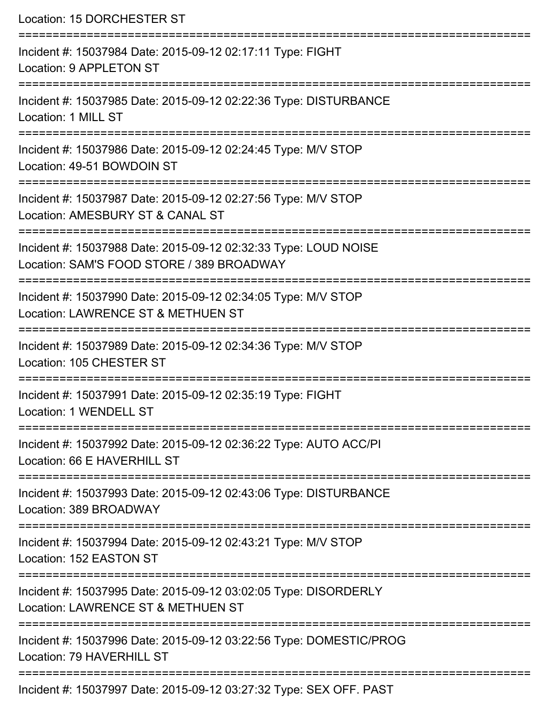| Location: 15 DORCHESTER ST                                                                                                                                      |
|-----------------------------------------------------------------------------------------------------------------------------------------------------------------|
| Incident #: 15037984 Date: 2015-09-12 02:17:11 Type: FIGHT<br>Location: 9 APPLETON ST<br>:===================================                                   |
| Incident #: 15037985 Date: 2015-09-12 02:22:36 Type: DISTURBANCE<br>Location: 1 MILL ST                                                                         |
| Incident #: 15037986 Date: 2015-09-12 02:24:45 Type: M/V STOP<br>Location: 49-51 BOWDOIN ST                                                                     |
| Incident #: 15037987 Date: 2015-09-12 02:27:56 Type: M/V STOP<br>Location: AMESBURY ST & CANAL ST                                                               |
| Incident #: 15037988 Date: 2015-09-12 02:32:33 Type: LOUD NOISE<br>Location: SAM'S FOOD STORE / 389 BROADWAY<br>==========================                      |
| Incident #: 15037990 Date: 2015-09-12 02:34:05 Type: M/V STOP<br>Location: LAWRENCE ST & METHUEN ST                                                             |
| Incident #: 15037989 Date: 2015-09-12 02:34:36 Type: M/V STOP<br>Location: 105 CHESTER ST                                                                       |
| Incident #: 15037991 Date: 2015-09-12 02:35:19 Type: FIGHT<br>Location: 1 WENDELL ST                                                                            |
| ==================================<br>----------------------<br>Incident #: 15037992 Date: 2015-09-12 02:36:22 Type: AUTO ACC/PI<br>Location: 66 E HAVERHILL ST |
| ---------------<br>Incident #: 15037993 Date: 2015-09-12 02:43:06 Type: DISTURBANCE<br>Location: 389 BROADWAY                                                   |
| Incident #: 15037994 Date: 2015-09-12 02:43:21 Type: M/V STOP<br>Location: 152 EASTON ST                                                                        |
| Incident #: 15037995 Date: 2015-09-12 03:02:05 Type: DISORDERLY<br>Location: LAWRENCE ST & METHUEN ST                                                           |
| Incident #: 15037996 Date: 2015-09-12 03:22:56 Type: DOMESTIC/PROG<br>Location: 79 HAVERHILL ST                                                                 |
| Incident #: 15037997 Date: 2015-09-12 03:27:32 Type: SEX OFF. PAST                                                                                              |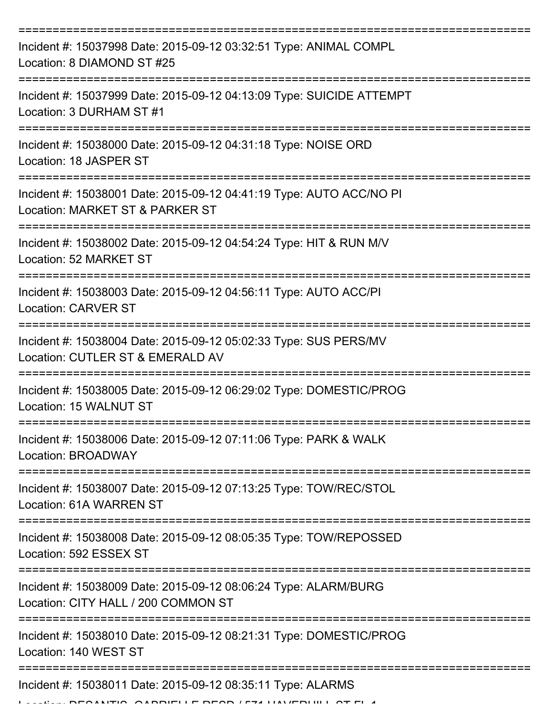| Incident #: 15037998 Date: 2015-09-12 03:32:51 Type: ANIMAL COMPL<br>Location: 8 DIAMOND ST #25        |
|--------------------------------------------------------------------------------------------------------|
| Incident #: 15037999 Date: 2015-09-12 04:13:09 Type: SUICIDE ATTEMPT<br>Location: 3 DURHAM ST #1       |
| Incident #: 15038000 Date: 2015-09-12 04:31:18 Type: NOISE ORD<br>Location: 18 JASPER ST               |
| Incident #: 15038001 Date: 2015-09-12 04:41:19 Type: AUTO ACC/NO PI<br>Location: MARKET ST & PARKER ST |
| Incident #: 15038002 Date: 2015-09-12 04:54:24 Type: HIT & RUN M/V<br>Location: 52 MARKET ST           |
| Incident #: 15038003 Date: 2015-09-12 04:56:11 Type: AUTO ACC/PI<br><b>Location: CARVER ST</b>         |
| Incident #: 15038004 Date: 2015-09-12 05:02:33 Type: SUS PERS/MV<br>Location: CUTLER ST & EMERALD AV   |
| Incident #: 15038005 Date: 2015-09-12 06:29:02 Type: DOMESTIC/PROG<br>Location: 15 WALNUT ST           |
| Incident #: 15038006 Date: 2015-09-12 07:11:06 Type: PARK & WALK<br>Location: BROADWAY                 |
| Incident #: 15038007 Date: 2015-09-12 07:13:25 Type: TOW/REC/STOL<br>Location: 61A WARREN ST           |
| Incident #: 15038008 Date: 2015-09-12 08:05:35 Type: TOW/REPOSSED<br>Location: 592 ESSEX ST            |
| Incident #: 15038009 Date: 2015-09-12 08:06:24 Type: ALARM/BURG<br>Location: CITY HALL / 200 COMMON ST |
| Incident #: 15038010 Date: 2015-09-12 08:21:31 Type: DOMESTIC/PROG<br>Location: 140 WEST ST            |
| Incident #: 15038011 Date: 2015-09-12 08:35:11 Type: ALARMS                                            |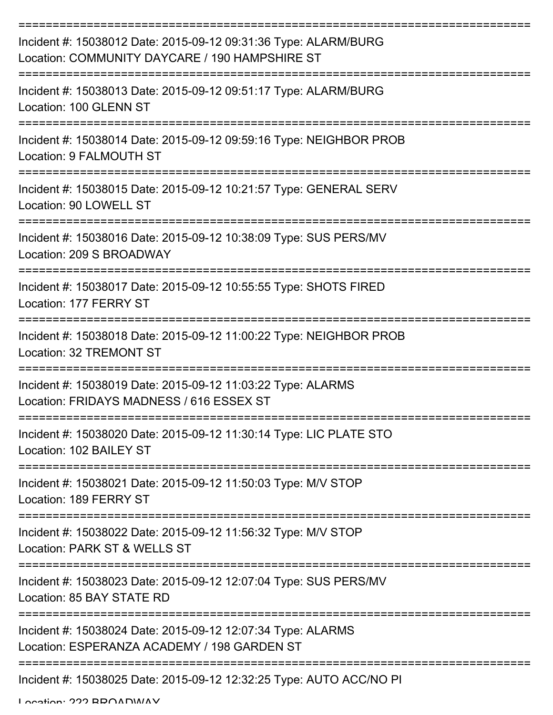| Incident #: 15038012 Date: 2015-09-12 09:31:36 Type: ALARM/BURG<br>Location: COMMUNITY DAYCARE / 190 HAMPSHIRE ST |
|-------------------------------------------------------------------------------------------------------------------|
| Incident #: 15038013 Date: 2015-09-12 09:51:17 Type: ALARM/BURG<br>Location: 100 GLENN ST                         |
| Incident #: 15038014 Date: 2015-09-12 09:59:16 Type: NEIGHBOR PROB<br>Location: 9 FALMOUTH ST                     |
| Incident #: 15038015 Date: 2015-09-12 10:21:57 Type: GENERAL SERV<br>Location: 90 LOWELL ST                       |
| Incident #: 15038016 Date: 2015-09-12 10:38:09 Type: SUS PERS/MV<br>Location: 209 S BROADWAY                      |
| Incident #: 15038017 Date: 2015-09-12 10:55:55 Type: SHOTS FIRED<br>Location: 177 FERRY ST                        |
| Incident #: 15038018 Date: 2015-09-12 11:00:22 Type: NEIGHBOR PROB<br>Location: 32 TREMONT ST                     |
| Incident #: 15038019 Date: 2015-09-12 11:03:22 Type: ALARMS<br>Location: FRIDAYS MADNESS / 616 ESSEX ST           |
| Incident #: 15038020 Date: 2015-09-12 11:30:14 Type: LIC PLATE STO<br>Location: 102 BAILEY ST                     |
| Incident #: 15038021 Date: 2015-09-12 11:50:03 Type: M/V STOP<br>Location: 189 FERRY ST                           |
| Incident #: 15038022 Date: 2015-09-12 11:56:32 Type: M/V STOP<br>Location: PARK ST & WELLS ST                     |
| Incident #: 15038023 Date: 2015-09-12 12:07:04 Type: SUS PERS/MV<br>Location: 85 BAY STATE RD                     |
| Incident #: 15038024 Date: 2015-09-12 12:07:34 Type: ALARMS<br>Location: ESPERANZA ACADEMY / 198 GARDEN ST        |
| Incident #: 15038025 Date: 2015-09-12 12:32:25 Type: AUTO ACC/NO PI                                               |

Location: 222 BBOADWAY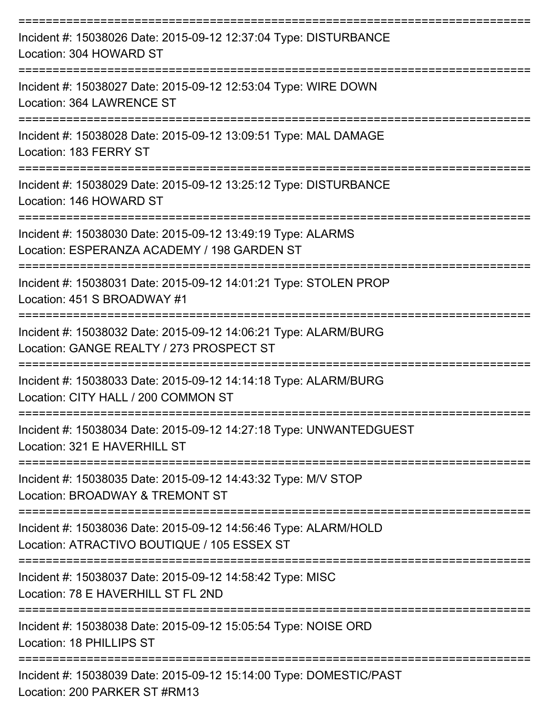| Incident #: 15038026 Date: 2015-09-12 12:37:04 Type: DISTURBANCE<br>Location: 304 HOWARD ST                    |
|----------------------------------------------------------------------------------------------------------------|
| Incident #: 15038027 Date: 2015-09-12 12:53:04 Type: WIRE DOWN<br>Location: 364 LAWRENCE ST                    |
| Incident #: 15038028 Date: 2015-09-12 13:09:51 Type: MAL DAMAGE<br>Location: 183 FERRY ST                      |
| Incident #: 15038029 Date: 2015-09-12 13:25:12 Type: DISTURBANCE<br>Location: 146 HOWARD ST                    |
| Incident #: 15038030 Date: 2015-09-12 13:49:19 Type: ALARMS<br>Location: ESPERANZA ACADEMY / 198 GARDEN ST     |
| Incident #: 15038031 Date: 2015-09-12 14:01:21 Type: STOLEN PROP<br>Location: 451 S BROADWAY #1                |
| Incident #: 15038032 Date: 2015-09-12 14:06:21 Type: ALARM/BURG<br>Location: GANGE REALTY / 273 PROSPECT ST    |
| Incident #: 15038033 Date: 2015-09-12 14:14:18 Type: ALARM/BURG<br>Location: CITY HALL / 200 COMMON ST         |
| Incident #: 15038034 Date: 2015-09-12 14:27:18 Type: UNWANTEDGUEST<br>Location: 321 E HAVERHILL ST             |
| Incident #: 15038035 Date: 2015-09-12 14:43:32 Type: M/V STOP<br>Location: BROADWAY & TREMONT ST               |
| Incident #: 15038036 Date: 2015-09-12 14:56:46 Type: ALARM/HOLD<br>Location: ATRACTIVO BOUTIQUE / 105 ESSEX ST |
| Incident #: 15038037 Date: 2015-09-12 14:58:42 Type: MISC<br>Location: 78 E HAVERHILL ST FL 2ND                |
| Incident #: 15038038 Date: 2015-09-12 15:05:54 Type: NOISE ORD<br>Location: 18 PHILLIPS ST                     |
| Incident #: 15038039 Date: 2015-09-12 15:14:00 Type: DOMESTIC/PAST<br>Location: 200 PARKER ST #RM13            |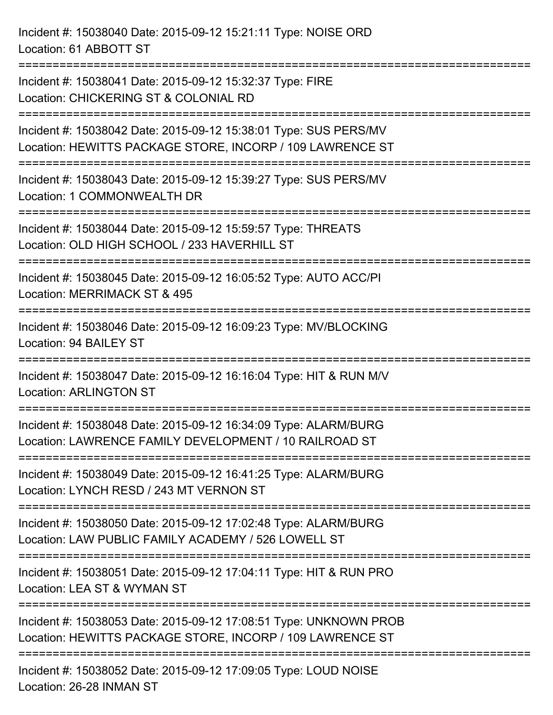Incident #: 15038040 Date: 2015-09-12 15:21:11 Type: NOISE ORD Location: 61 ABBOTT ST =========================================================================== Incident #: 15038041 Date: 2015-09-12 15:32:37 Type: FIRE Location: CHICKERING ST & COLONIAL RD =========================================================================== Incident #: 15038042 Date: 2015-09-12 15:38:01 Type: SUS PERS/MV Location: HEWITTS PACKAGE STORE, INCORP / 109 LAWRENCE ST =========================================================================== Incident #: 15038043 Date: 2015-09-12 15:39:27 Type: SUS PERS/MV Location: 1 COMMONWEALTH DR =========================================================================== Incident #: 15038044 Date: 2015-09-12 15:59:57 Type: THREATS Location: OLD HIGH SCHOOL / 233 HAVERHILL ST =========================================================================== Incident #: 15038045 Date: 2015-09-12 16:05:52 Type: AUTO ACC/PI Location: MERRIMACK ST & 495 =========================================================================== Incident #: 15038046 Date: 2015-09-12 16:09:23 Type: MV/BLOCKING Location: 94 BAILEY ST =========================================================================== Incident #: 15038047 Date: 2015-09-12 16:16:04 Type: HIT & RUN M/V Location: ARLINGTON ST =========================================================================== Incident #: 15038048 Date: 2015-09-12 16:34:09 Type: ALARM/BURG Location: LAWRENCE FAMILY DEVELOPMENT / 10 RAILROAD ST =========================================================================== Incident #: 15038049 Date: 2015-09-12 16:41:25 Type: ALARM/BURG Location: LYNCH RESD / 243 MT VERNON ST =========================================================================== Incident #: 15038050 Date: 2015-09-12 17:02:48 Type: ALARM/BURG Location: LAW PUBLIC FAMILY ACADEMY / 526 LOWELL ST =========================================================================== Incident #: 15038051 Date: 2015-09-12 17:04:11 Type: HIT & RUN PRO Location: LEA ST & WYMAN ST =========================================================================== Incident #: 15038053 Date: 2015-09-12 17:08:51 Type: UNKNOWN PROB Location: HEWITTS PACKAGE STORE, INCORP / 109 LAWRENCE ST =========================================================================== Incident #: 15038052 Date: 2015-09-12 17:09:05 Type: LOUD NOISE Location: 26-28 INMAN ST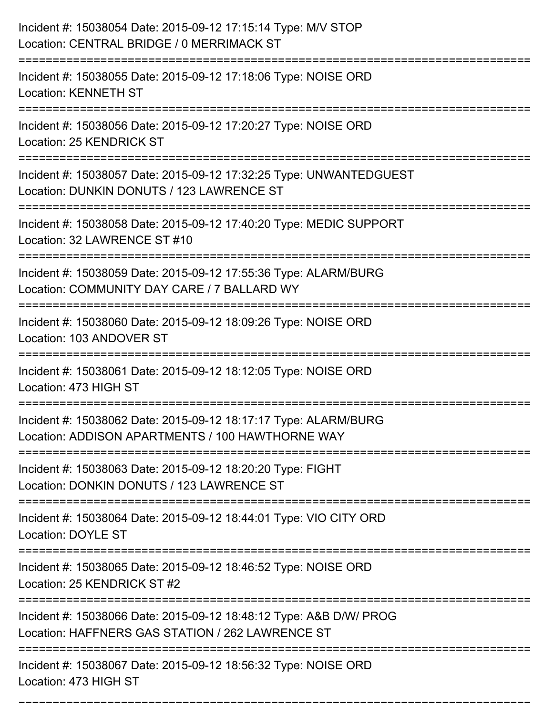| Incident #: 15038054 Date: 2015-09-12 17:15:14 Type: M/V STOP<br>Location: CENTRAL BRIDGE / 0 MERRIMACK ST                                                              |
|-------------------------------------------------------------------------------------------------------------------------------------------------------------------------|
| Incident #: 15038055 Date: 2015-09-12 17:18:06 Type: NOISE ORD<br><b>Location: KENNETH ST</b>                                                                           |
| Incident #: 15038056 Date: 2015-09-12 17:20:27 Type: NOISE ORD<br>Location: 25 KENDRICK ST                                                                              |
| Incident #: 15038057 Date: 2015-09-12 17:32:25 Type: UNWANTEDGUEST<br>Location: DUNKIN DONUTS / 123 LAWRENCE ST                                                         |
| Incident #: 15038058 Date: 2015-09-12 17:40:20 Type: MEDIC SUPPORT<br>Location: 32 LAWRENCE ST #10                                                                      |
| Incident #: 15038059 Date: 2015-09-12 17:55:36 Type: ALARM/BURG<br>Location: COMMUNITY DAY CARE / 7 BALLARD WY                                                          |
| Incident #: 15038060 Date: 2015-09-12 18:09:26 Type: NOISE ORD<br>Location: 103 ANDOVER ST                                                                              |
| Incident #: 15038061 Date: 2015-09-12 18:12:05 Type: NOISE ORD<br>Location: 473 HIGH ST                                                                                 |
| Incident #: 15038062 Date: 2015-09-12 18:17:17 Type: ALARM/BURG<br>Location: ADDISON APARTMENTS / 100 HAWTHORNE WAY                                                     |
| Incident #: 15038063 Date: 2015-09-12 18:20:20 Type: FIGHT<br>Location: DONKIN DONUTS / 123 LAWRENCE ST                                                                 |
| ====================================<br>=============================<br>Incident #: 15038064 Date: 2015-09-12 18:44:01 Type: VIO CITY ORD<br><b>Location: DOYLE ST</b> |
| Incident #: 15038065 Date: 2015-09-12 18:46:52 Type: NOISE ORD<br>Location: 25 KENDRICK ST #2<br>================================                                       |
| Incident #: 15038066 Date: 2015-09-12 18:48:12 Type: A&B D/W/ PROG<br>Location: HAFFNERS GAS STATION / 262 LAWRENCE ST                                                  |
| Incident #: 15038067 Date: 2015-09-12 18:56:32 Type: NOISE ORD<br>Location: 473 HIGH ST                                                                                 |

===========================================================================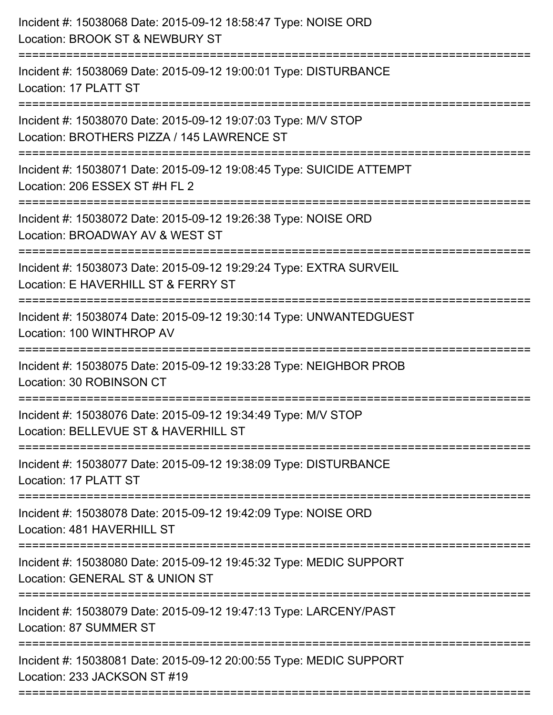| Incident #: 15038068 Date: 2015-09-12 18:58:47 Type: NOISE ORD<br>Location: BROOK ST & NEWBURY ST                                        |
|------------------------------------------------------------------------------------------------------------------------------------------|
| :=====================<br>Incident #: 15038069 Date: 2015-09-12 19:00:01 Type: DISTURBANCE<br>Location: 17 PLATT ST                      |
| Incident #: 15038070 Date: 2015-09-12 19:07:03 Type: M/V STOP<br>Location: BROTHERS PIZZA / 145 LAWRENCE ST<br>========================= |
| Incident #: 15038071 Date: 2015-09-12 19:08:45 Type: SUICIDE ATTEMPT<br>Location: 206 ESSEX ST #H FL 2                                   |
| Incident #: 15038072 Date: 2015-09-12 19:26:38 Type: NOISE ORD<br>Location: BROADWAY AV & WEST ST                                        |
| Incident #: 15038073 Date: 2015-09-12 19:29:24 Type: EXTRA SURVEIL<br>Location: E HAVERHILL ST & FERRY ST                                |
| Incident #: 15038074 Date: 2015-09-12 19:30:14 Type: UNWANTEDGUEST<br>Location: 100 WINTHROP AV                                          |
| Incident #: 15038075 Date: 2015-09-12 19:33:28 Type: NEIGHBOR PROB<br>Location: 30 ROBINSON CT                                           |
| Incident #: 15038076 Date: 2015-09-12 19:34:49 Type: M/V STOP<br>Location: BELLEVUE ST & HAVERHILL ST                                    |
| Incident #: 15038077 Date: 2015-09-12 19:38:09 Type: DISTURBANCE<br>Location: 17 PLATT ST                                                |
| Incident #: 15038078 Date: 2015-09-12 19:42:09 Type: NOISE ORD<br>Location: 481 HAVERHILL ST                                             |
| Incident #: 15038080 Date: 2015-09-12 19:45:32 Type: MEDIC SUPPORT<br>Location: GENERAL ST & UNION ST                                    |
| Incident #: 15038079 Date: 2015-09-12 19:47:13 Type: LARCENY/PAST<br>Location: 87 SUMMER ST                                              |
| Incident #: 15038081 Date: 2015-09-12 20:00:55 Type: MEDIC SUPPORT<br>Location: 233 JACKSON ST #19                                       |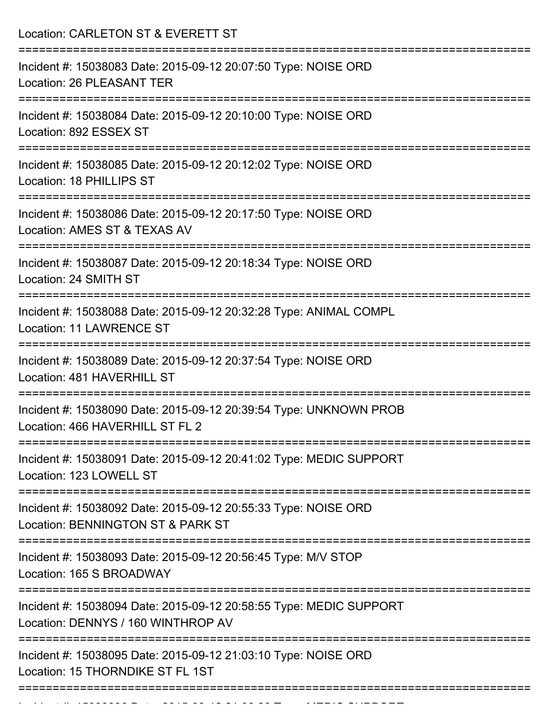| Location: CARLETON ST & EVERETT ST                                                                                             |
|--------------------------------------------------------------------------------------------------------------------------------|
| Incident #: 15038083 Date: 2015-09-12 20:07:50 Type: NOISE ORD<br>Location: 26 PLEASANT TER                                    |
| Incident #: 15038084 Date: 2015-09-12 20:10:00 Type: NOISE ORD<br>Location: 892 ESSEX ST                                       |
| Incident #: 15038085 Date: 2015-09-12 20:12:02 Type: NOISE ORD<br>Location: 18 PHILLIPS ST<br>================================ |
| Incident #: 15038086 Date: 2015-09-12 20:17:50 Type: NOISE ORD<br>Location: AMES ST & TEXAS AV                                 |
| Incident #: 15038087 Date: 2015-09-12 20:18:34 Type: NOISE ORD<br>Location: 24 SMITH ST<br>=======================             |
| Incident #: 15038088 Date: 2015-09-12 20:32:28 Type: ANIMAL COMPL<br><b>Location: 11 LAWRENCE ST</b>                           |
| Incident #: 15038089 Date: 2015-09-12 20:37:54 Type: NOISE ORD<br>Location: 481 HAVERHILL ST                                   |
| Incident #: 15038090 Date: 2015-09-12 20:39:54 Type: UNKNOWN PROB<br>Location: 466 HAVERHILL ST FL 2                           |
| Incident #: 15038091 Date: 2015-09-12 20:41:02 Type: MEDIC SUPPORT<br>Location: 123 LOWELL ST                                  |
| Incident #: 15038092 Date: 2015-09-12 20:55:33 Type: NOISE ORD<br>Location: BENNINGTON ST & PARK ST                            |
| Incident #: 15038093 Date: 2015-09-12 20:56:45 Type: M/V STOP<br>Location: 165 S BROADWAY                                      |
| Incident #: 15038094 Date: 2015-09-12 20:58:55 Type: MEDIC SUPPORT<br>Location: DENNYS / 160 WINTHROP AV                       |
| Incident #: 15038095 Date: 2015-09-12 21:03:10 Type: NOISE ORD<br>Location: 15 THORNDIKE ST FL 1ST                             |

Incident #: 15038096 Date: 2015 09 12 21:06:28 Type: MEDIC SUPPORT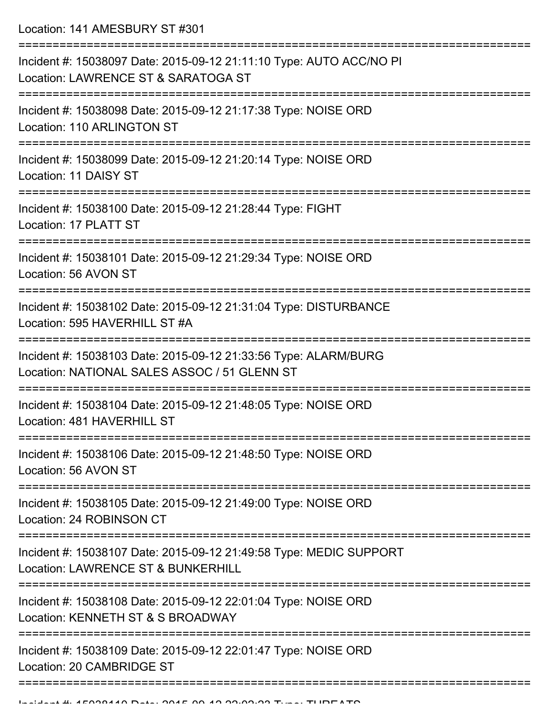Location: 141 AMESBURY ST #301

| Incident #: 15038097 Date: 2015-09-12 21:11:10 Type: AUTO ACC/NO PI<br>Location: LAWRENCE ST & SARATOGA ST                            |
|---------------------------------------------------------------------------------------------------------------------------------------|
| Incident #: 15038098 Date: 2015-09-12 21:17:38 Type: NOISE ORD<br>Location: 110 ARLINGTON ST                                          |
| Incident #: 15038099 Date: 2015-09-12 21:20:14 Type: NOISE ORD<br>Location: 11 DAISY ST                                               |
| Incident #: 15038100 Date: 2015-09-12 21:28:44 Type: FIGHT<br>Location: 17 PLATT ST                                                   |
| Incident #: 15038101 Date: 2015-09-12 21:29:34 Type: NOISE ORD<br>Location: 56 AVON ST                                                |
| Incident #: 15038102 Date: 2015-09-12 21:31:04 Type: DISTURBANCE<br>Location: 595 HAVERHILL ST #A                                     |
| Incident #: 15038103 Date: 2015-09-12 21:33:56 Type: ALARM/BURG<br>Location: NATIONAL SALES ASSOC / 51 GLENN ST                       |
| Incident #: 15038104 Date: 2015-09-12 21:48:05 Type: NOISE ORD<br>Location: 481 HAVERHILL ST                                          |
| Incident #: 15038106 Date: 2015-09-12 21:48:50 Type: NOISE ORD<br>Location: 56 AVON ST                                                |
| =================<br>Incident #: 15038105 Date: 2015-09-12 21:49:00 Type: NOISE ORD<br>Location: 24 ROBINSON CT                       |
| =========================<br>Incident #: 15038107 Date: 2015-09-12 21:49:58 Type: MEDIC SUPPORT<br>Location: LAWRENCE ST & BUNKERHILL |
| Incident #: 15038108 Date: 2015-09-12 22:01:04 Type: NOISE ORD<br>Location: KENNETH ST & S BROADWAY                                   |
| Incident #: 15038109 Date: 2015-09-12 22:01:47 Type: NOISE ORD<br>Location: 20 CAMBRIDGE ST                                           |
|                                                                                                                                       |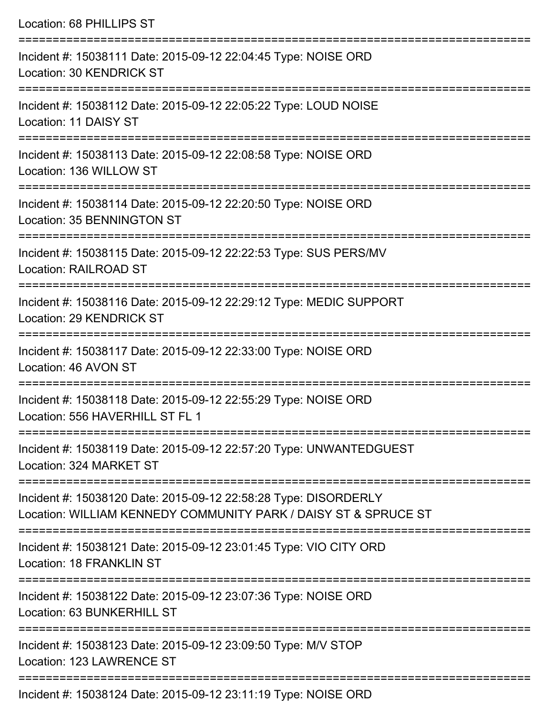Location: 68 PHILLIPS ST =========================================================================== Incident #: 15038111 Date: 2015-09-12 22:04:45 Type: NOISE ORD Location: 30 KENDRICK ST =========================================================================== Incident #: 15038112 Date: 2015-09-12 22:05:22 Type: LOUD NOISE Location: 11 DAISY ST =========================================================================== Incident #: 15038113 Date: 2015-09-12 22:08:58 Type: NOISE ORD Location: 136 WILLOW ST =========================================================================== Incident #: 15038114 Date: 2015-09-12 22:20:50 Type: NOISE ORD Location: 35 BENNINGTON ST =========================================================================== Incident #: 15038115 Date: 2015-09-12 22:22:53 Type: SUS PERS/MV Location: RAILROAD ST =========================================================================== Incident #: 15038116 Date: 2015-09-12 22:29:12 Type: MEDIC SUPPORT Location: 29 KENDRICK ST =========================================================================== Incident #: 15038117 Date: 2015-09-12 22:33:00 Type: NOISE ORD Location: 46 AVON ST =========================================================================== Incident #: 15038118 Date: 2015-09-12 22:55:29 Type: NOISE ORD Location: 556 HAVERHILL ST FL 1 =========================================================================== Incident #: 15038119 Date: 2015-09-12 22:57:20 Type: UNWANTEDGUEST Location: 324 MARKET ST =========================================================================== Incident #: 15038120 Date: 2015-09-12 22:58:28 Type: DISORDERLY Location: WILLIAM KENNEDY COMMUNITY PARK / DAISY ST & SPRUCE ST =========================================================================== Incident #: 15038121 Date: 2015-09-12 23:01:45 Type: VIO CITY ORD Location: 18 FRANKLIN ST =========================================================================== Incident #: 15038122 Date: 2015-09-12 23:07:36 Type: NOISE ORD Location: 63 BUNKERHILL ST =========================================================================== Incident #: 15038123 Date: 2015-09-12 23:09:50 Type: M/V STOP Location: 123 LAWRENCE ST

Incident #: 15038124 Date: 2015-09-12 23:11:19 Type: NOISE ORD

===========================================================================